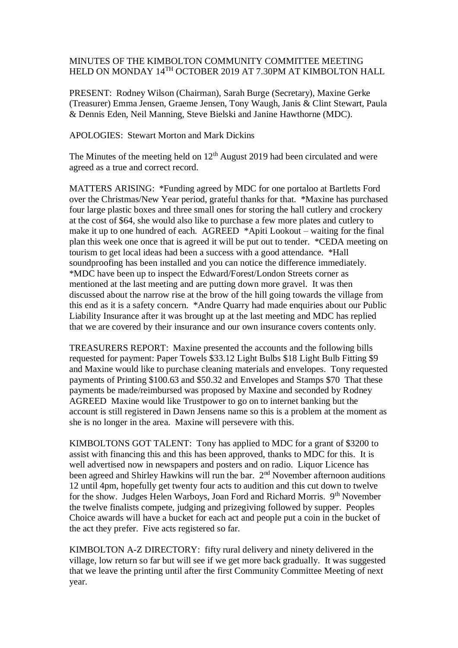## MINUTES OF THE KIMBOLTON COMMUNITY COMMITTEE MEETING HELD ON MONDAY 14<sup>TH</sup> OCTOBER 2019 AT 7.30PM AT KIMBOLTON HALL

PRESENT: Rodney Wilson (Chairman), Sarah Burge (Secretary), Maxine Gerke (Treasurer) Emma Jensen, Graeme Jensen, Tony Waugh, Janis & Clint Stewart, Paula & Dennis Eden, Neil Manning, Steve Bielski and Janine Hawthorne (MDC).

## APOLOGIES: Stewart Morton and Mark Dickins

The Minutes of the meeting held on  $12<sup>th</sup>$  August 2019 had been circulated and were agreed as a true and correct record.

MATTERS ARISING: \*Funding agreed by MDC for one portaloo at Bartletts Ford over the Christmas/New Year period, grateful thanks for that. \*Maxine has purchased four large plastic boxes and three small ones for storing the hall cutlery and crockery at the cost of \$64, she would also like to purchase a few more plates and cutlery to make it up to one hundred of each. AGREED \*Apiti Lookout – waiting for the final plan this week one once that is agreed it will be put out to tender. \*CEDA meeting on tourism to get local ideas had been a success with a good attendance. \*Hall soundproofing has been installed and you can notice the difference immediately. \*MDC have been up to inspect the Edward/Forest/London Streets corner as mentioned at the last meeting and are putting down more gravel. It was then discussed about the narrow rise at the brow of the hill going towards the village from this end as it is a safety concern. \*Andre Quarry had made enquiries about our Public Liability Insurance after it was brought up at the last meeting and MDC has replied that we are covered by their insurance and our own insurance covers contents only.

TREASURERS REPORT: Maxine presented the accounts and the following bills requested for payment: Paper Towels \$33.12 Light Bulbs \$18 Light Bulb Fitting \$9 and Maxine would like to purchase cleaning materials and envelopes. Tony requested payments of Printing \$100.63 and \$50.32 and Envelopes and Stamps \$70 That these payments be made/reimbursed was proposed by Maxine and seconded by Rodney AGREED Maxine would like Trustpower to go on to internet banking but the account is still registered in Dawn Jensens name so this is a problem at the moment as she is no longer in the area. Maxine will persevere with this.

KIMBOLTONS GOT TALENT: Tony has applied to MDC for a grant of \$3200 to assist with financing this and this has been approved, thanks to MDC for this. It is well advertised now in newspapers and posters and on radio. Liquor Licence has been agreed and Shirley Hawkins will run the bar. 2<sup>nd</sup> November afternoon auditions 12 until 4pm, hopefully get twenty four acts to audition and this cut down to twelve for the show. Judges Helen Warboys, Joan Ford and Richard Morris. 9<sup>th</sup> November the twelve finalists compete, judging and prizegiving followed by supper. Peoples Choice awards will have a bucket for each act and people put a coin in the bucket of the act they prefer. Five acts registered so far.

KIMBOLTON A-Z DIRECTORY: fifty rural delivery and ninety delivered in the village, low return so far but will see if we get more back gradually. It was suggested that we leave the printing until after the first Community Committee Meeting of next year.